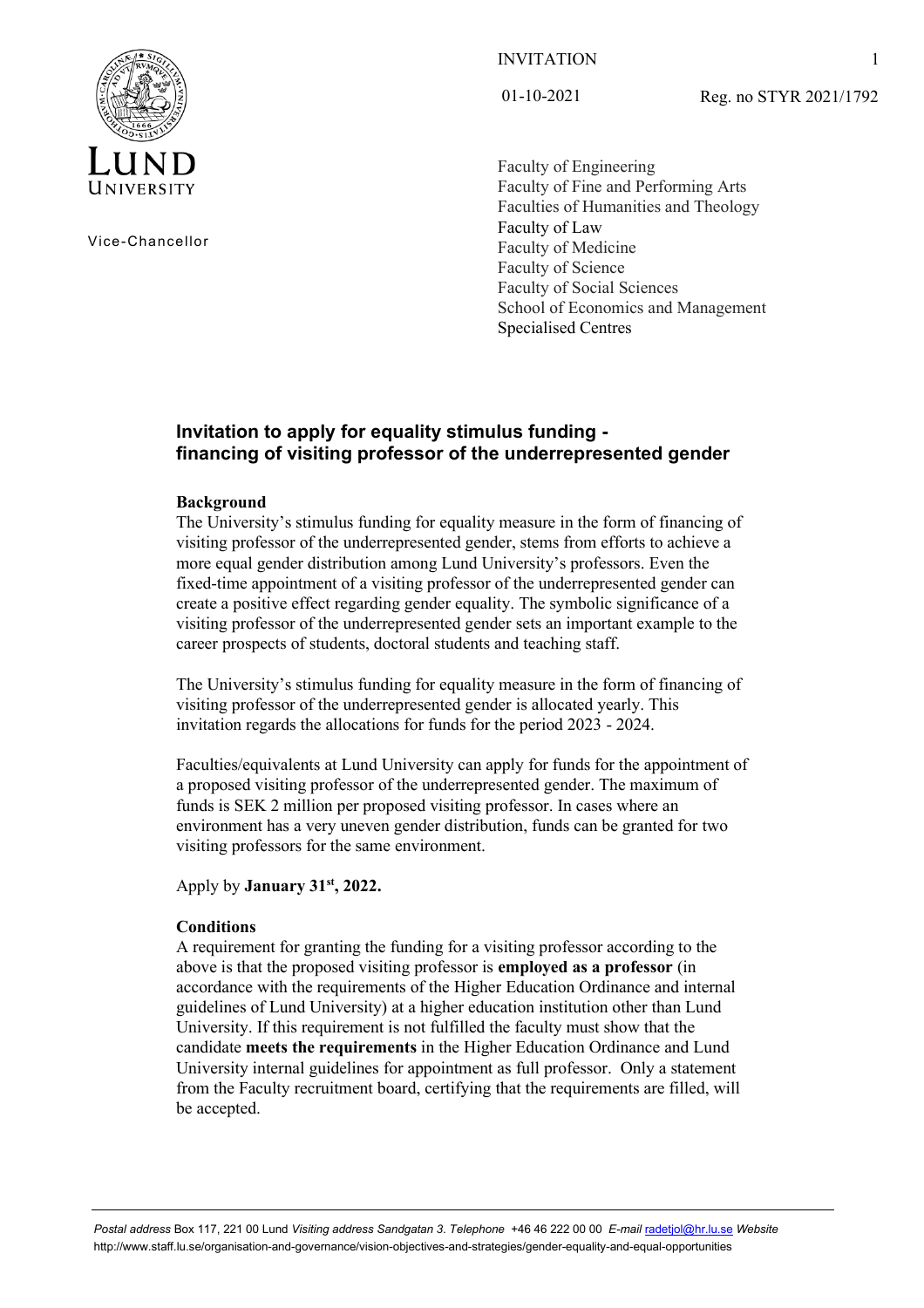

Vice-Chancellor

# INVITATION

01-10-2021

Reg. no STYR 2021/1792

Faculty of Engineering Faculty of Fine and Performing Arts Faculties of Humanities and Theology Faculty of Law Faculty of Medicine Faculty of Science Faculty of Social Sciences School of Economics and Management Specialised Centres

# **Invitation to apply for equality stimulus funding financing of visiting professor of the underrepresented gender**

## **Background**

The University's stimulus funding for equality measure in the form of financing of visiting professor of the underrepresented gender, stems from efforts to achieve a more equal gender distribution among Lund University's professors. Even the fixed-time appointment of a visiting professor of the underrepresented gender can create a positive effect regarding gender equality. The symbolic significance of a visiting professor of the underrepresented gender sets an important example to the career prospects of students, doctoral students and teaching staff.

The University's stimulus funding for equality measure in the form of financing of visiting professor of the underrepresented gender is allocated yearly. This invitation regards the allocations for funds for the period 2023 - 2024.

Faculties/equivalents at Lund University can apply for funds for the appointment of a proposed visiting professor of the underrepresented gender. The maximum of funds is SEK 2 million per proposed visiting professor. In cases where an environment has a very uneven gender distribution, funds can be granted for two visiting professors for the same environment.

Apply by **January 31st, 2022.**

## **Conditions**

A requirement for granting the funding for a visiting professor according to the above is that the proposed visiting professor is **employed as a professor** (in accordance with the requirements of the Higher Education Ordinance and internal guidelines of Lund University) at a higher education institution other than Lund University. If this requirement is not fulfilled the faculty must show that the candidate **meets the requirements** in the Higher Education Ordinance and Lund University internal guidelines for appointment as full professor. Only a statement from the Faculty recruitment board, certifying that the requirements are filled, will be accepted.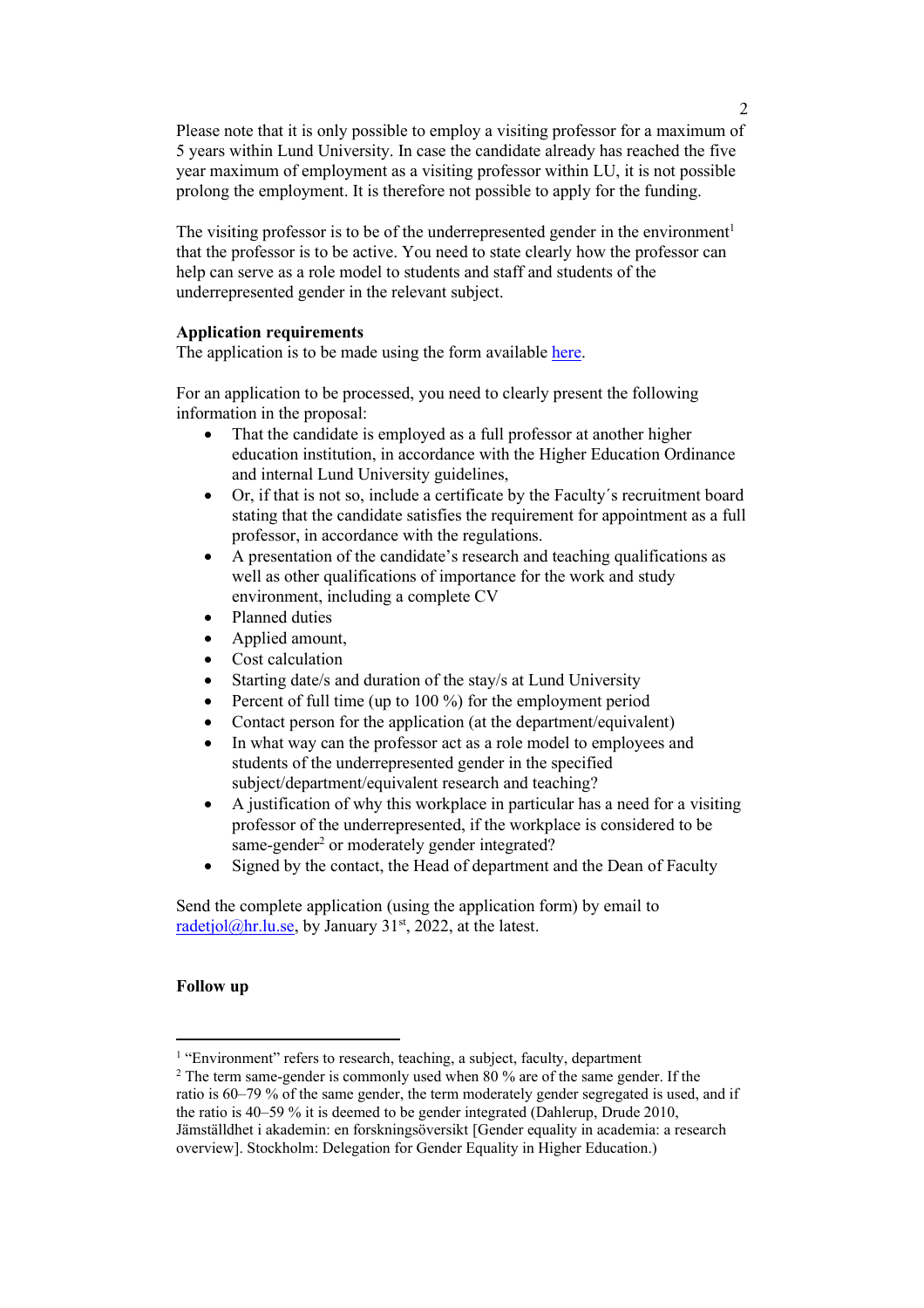Please note that it is only possible to employ a visiting professor for a maximum of 5 years within Lund University. In case the candidate already has reached the five year maximum of employment as a visiting professor within LU, it is not possible prolong the employment. It is therefore not possible to apply for the funding.

The visiting professor is to be of the underrepresented gender in the environment<sup>1</sup> that the professor is to be active. You need to state clearly how the professor can help can serve as a role model to students and staff and students of the underrepresented gender in the relevant subject.

## **Application requirements**

The application is to be made using the form available [here.](https://www.staff.lu.se/article/equality-stimulus-funding)

For an application to be processed, you need to clearly present the following information in the proposal:

- That the candidate is employed as a full professor at another higher education institution, in accordance with the Higher Education Ordinance and internal Lund University guidelines,
- Or, if that is not so, include a certificate by the Faculty´s recruitment board stating that the candidate satisfies the requirement for appointment as a full professor, in accordance with the regulations.
- A presentation of the candidate's research and teaching qualifications as well as other qualifications of importance for the work and study environment, including a complete CV
- Planned duties
- Applied amount,
- Cost calculation
- Starting date/s and duration of the stay/s at Lund University
- Percent of full time (up to 100 %) for the employment period
- Contact person for the application (at the department/equivalent)
- In what way can the professor act as a role model to employees and students of the underrepresented gender in the specified subject/department/equivalent research and teaching?
- A justification of why this workplace in particular has a need for a visiting professor of the underrepresented, if the workplace is considered to be same-gender<sup>2</sup> or moderately gender integrated?
- Signed by the contact, the Head of department and the Dean of Faculty

Send the complete application (using the application form) by email to radetjol $@$ hr.lu.se, by January 31<sup>st</sup>, 2022, at the latest.

## **Follow up**

<sup>&</sup>lt;sup>1</sup> "Environment" refers to research, teaching, a subject, faculty, department

 $2$  The term same-gender is commonly used when 80 % are of the same gender. If the ratio is 60–79 % of the same gender, the term moderately gender segregated is used, and if the ratio is 40–59 % it is deemed to be gender integrated (Dahlerup, Drude 2010, Jämställdhet i akademin: en forskningsöversikt [Gender equality in academia: a research overview]. Stockholm: Delegation for Gender Equality in Higher Education.)